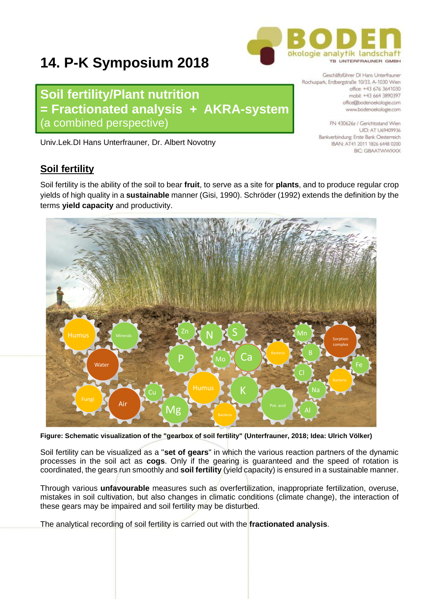# ökologie analytik landschaft TR UNTEREDALINER CMBH

## **14. P-K Symposium 2018**

**Soil fertility/Plant nutrition = Fractionated analysis + AKRA-system** (a combined perspective)

Univ.Lek.DI Hans Unterfrauner, Dr. Albert Novotny

## **Soil fertility**

Soil fertility is the ability of the soil to bear **fruit**, to serve as a site for **plants**, and to produce regular crop yields of high quality in a **sustainable** manner (Gisi, 1990). Schröder (1992) extends the definition by the terms **yield capacity** and productivity.

**Figure: Schematic visualization of the "gearbox of soil fertility" (Unterfrauner, 2018; Idea: Ulrich Völker)**

Soil fertility can be visualized as a "**set of gears**" in which the various reaction partners of the dynamic processes in the soil act as **cogs**. Only if the gearing is guaranteed and the speed of rotation is coordinated, the gears run smoothly and **soil fertility** (yield capacity) is ensured in a sustainable manner.

Through various **unfavourable** measures such as overfertilization, inappropriate fertilization, overuse, mistakes in soil cultivation, but also changes in climatic conditions (climate change), the interaction of these gears may be impaired and soil fertility may be disturbed.

The analytical recording of soil fertility is carried out with the **fractionated analysis**.



Geschäftsführer DI Hans Unterfrauner Rochuspark, Erdbergstraße 10/33, A-1030 Wien officer +43,676,3641030 mobil: +43 664 3890397 office@bodenoekologie.com www.bodenoekologie.com

> FN 430626z / Gerichtsstand Wien **UID: AT U69409936** Bankverbindung; Erste Bank Oesterreich IBAN: AT41 2011 1826 6448 0200 **BIC: GIRAATWWXXX**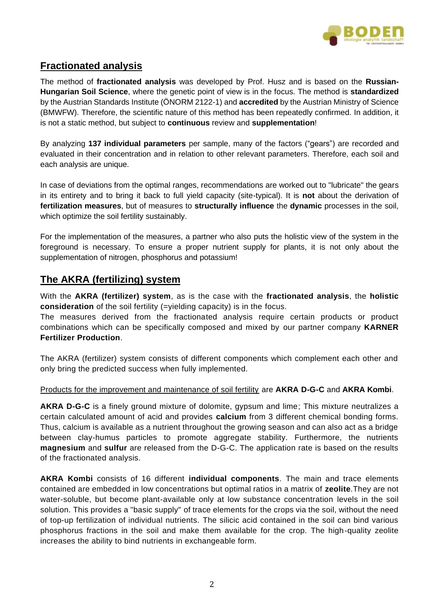

## **Fractionated analysis**

The method of **fractionated analysis** was developed by Prof. Husz and is based on the **Russian-Hungarian Soil Science**, where the genetic point of view is in the focus. The method is **standardized**  by the Austrian Standards Institute (ÖNORM 2122-1) and **accredited** by the Austrian Ministry of Science (BMWFW). Therefore, the scientific nature of this method has been repeatedly confirmed. In addition, it is not a static method, but subject to **continuous** review and **supplementation**!

By analyzing **137 individual parameters** per sample, many of the factors ("gears") are recorded and evaluated in their concentration and in relation to other relevant parameters. Therefore, each soil and each analysis are unique.

In case of deviations from the optimal ranges, recommendations are worked out to "lubricate" the gears in its entirety and to bring it back to full yield capacity (site-typical). It is **not** about the derivation of **fertilization measures**, but of measures to **structurally influence** the **dynamic** processes in the soil, which optimize the soil fertility sustainably.

For the implementation of the measures, a partner who also puts the holistic view of the system in the foreground is necessary. To ensure a proper nutrient supply for plants, it is not only about the supplementation of nitrogen, phosphorus and potassium!

### **The AKRA (fertilizing) system**

With the **AKRA (fertilizer) system**, as is the case with the **fractionated analysis**, the **holistic consideration** of the soil fertility (=yielding capacity) is in the focus.

The measures derived from the fractionated analysis require certain products or product combinations which can be specifically composed and mixed by our partner company **KARNER Fertilizer Production**.

The AKRA (fertilizer) system consists of different components which complement each other and only bring the predicted success when fully implemented.

#### Products for the improvement and maintenance of soil fertility are **AKRA D-G-C** and **AKRA Kombi**.

**AKRA D-G-C** is a finely ground mixture of dolomite, gypsum and lime; This mixture neutralizes a certain calculated amount of acid and provides **calcium** from 3 different chemical bonding forms. Thus, calcium is available as a nutrient throughout the growing season and can also act as a bridge between clay-humus particles to promote aggregate stability. Furthermore, the nutrients **magnesium** and **sulfur** are released from the D-G-C. The application rate is based on the results of the fractionated analysis.

**AKRA Kombi** consists of 16 different **individual components**. The main and trace elements contained are embedded in low concentrations but optimal ratios in a matrix of **zeolite**.They are not water-soluble, but become plant-available only at low substance concentration levels in the soil solution. This provides a "basic supply" of trace elements for the crops via the soil, without the need of top-up fertilization of individual nutrients. The silicic acid contained in the soil can bind various phosphorus fractions in the soil and make them available for the crop. The high-quality zeolite increases the ability to bind nutrients in exchangeable form.